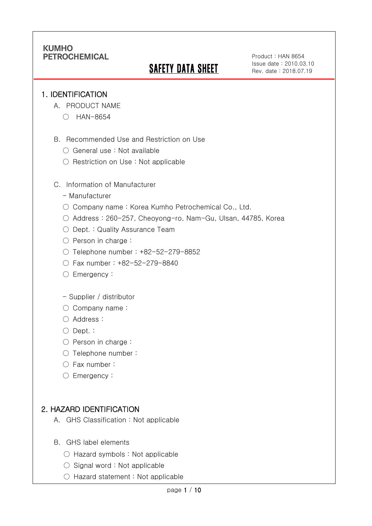# SAFETY DATA SHEET

Product : HAN 8654 Issue date : 2010.03.10 Rev. date : 2018.07.19

#### 1. IDENTIFICATION

Ī

- A. PRODUCT NAME
	- HAN-8654
- B. Recommended Use and Restriction on Use
	- General use : Not available
	- Restriction on Use : Not applicable
- C. Information of Manufacturer
	- Manufacturer
	- Company name: Korea Kumho Petrochemical Co., Ltd.
	- Address : 260-257, Cheoyong-ro, Nam-Gu, Ulsan, 44785, Korea
	- Dept. : Quality Assurance Team
	- Person in charge :
	- Telephone number : +82-52-279-8852
	- Fax number : +82-52-279-8840
	- Emergency:
	- Supplier / distributor
	- Company name:
	- Address :
	- Dept. :
	- Person in charge :
	- Telephone number :
	- Fax number :
	- Emergency:

# 2. HAZARD IDENTIFICATION

- A. GHS Classification : Not applicable
- B. GHS label elements
	- Hazard symbols : Not applicable
	- $\bigcirc$  Signal word : Not applicable
	- Hazard statement : Not applicable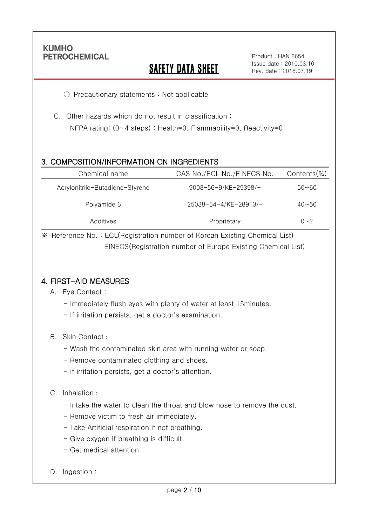Ī

# **SAFETY DATA SHEET**

Product : HAN 8654 Issue date : 2010.03.10 Rev. date : 2018.07.19

○ Precautionary statements : Not applicable

C. Other hazards which do not result in classification :

- NFPA rating: (0~4 steps) : Health=0, Flammability=0, Reactivity=0

### 3. COMPOSITION/INFORMATION ON INGREDIENTS

| Chemical name                   | CAS No./ECL No./EINECS No. | Contents(%) |
|---------------------------------|----------------------------|-------------|
| Acrylonitrile-Butadiene-Styrene | 9003-56-9/KE-29398/-       | $50 - 60$   |
| Polyamide 6                     | 25038-54-4/KE-28913/-      | $40 - 50$   |
| Additives                       | Proprietary                | $0 - 2$     |

※ Reference No. : ECL(Registration number of Korean Existing Chemical List) EINECS(Registration number of Europe Existing Chemical List)

### 4. FIRST-AID MEASURES

- A. Eye Contact :
	- Immediately flush eyes with plenty of water at least 15minutes.
	- If irritation persists, get a doctor's examination.
- B. Skin Contact :
	- Wash the contaminated skin area with running water or soap.
	- Remove contaminated clothing and shoes.
	- If irritation persists, get a doctor's attention.

#### C. Inhalation :

- Intake the water to clean the throat and blow nose to remove the dust.
- Remove victim to fresh air immediately.
- Take Artificial respiration if not breathing.
- Give oxygen if breathing is difficult.
- Get medical attention.
- D. Ingestion: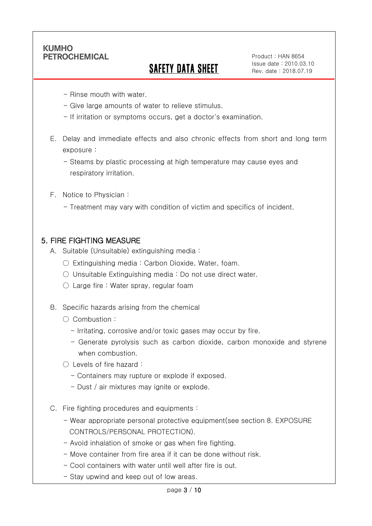Ī

# SAFETY DATA SHEET

Product : HAN 8654 Issue date : 2010.03.10 Rev. date : 2018.07.19

- Rinse mouth with water.
- Give large amounts of water to relieve stimulus.
- If irritation or symptoms occurs, get a doctor's examination.
- E. Delay and immediate effects and also chronic effects from short and long term exposure :
	- Steams by plastic processing at high temperature may cause eyes and respiratory irritation.
- F. Notice to Physician :
	- Treatment may vary with condition of victim and specifics of incident.

#### 5. FIRE FIGHTING MEASURE

- A. Suitable (Unsuitable) extinguishing media :
	- Extinguishing media : Carbon Dioxide, Water, foam.
	- Unsuitable Extinguishing media : Do not use direct water.
	- $\circlearrowright$  Large fire : Water spray, regular foam
- B. Specific hazards arising from the chemical
	- Combustion :
		- Irritating, corrosive and/or toxic gases may occur by fire.
		- Generate pyrolysis such as carbon dioxide, carbon monoxide and styrene when combustion.
	- Levels of fire hazard :
		- Containers may rupture or explode if exposed.
		- Dust / air mixtures may ignite or explode.
- C. Fire fighting procedures and equipments :
	- Wear appropriate personal protective equipment(see section 8. EXPOSURE CONTROLS/PERSONAL PROTECTION).
	- Avoid inhalation of smoke or gas when fire fighting.
	- Move container from fire area if it can be done without risk.
	- Cool containers with water until well after fire is out.
	- Stay upwind and keep out of low areas.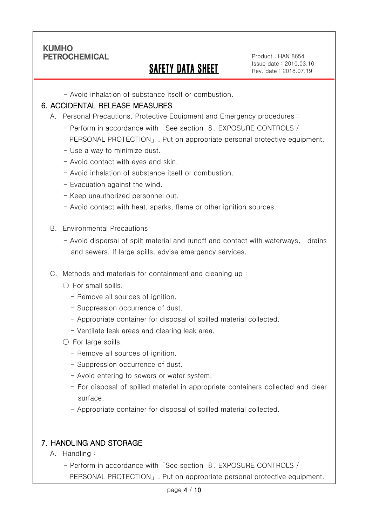Ī

# SAFETY DATA SHEET

Product : HAN 8654 Issue date : 2010.03.10 Rev. date : 2018.07.19

- Avoid inhalation of substance itself or combustion.

#### 6. ACCIDENTAL RELEASE MEASURES

- A. Personal Precautions, Protective Equipment and Emergency procedures :
	- Perform in accordance with「See section 8. EXPOSURE CONTROLS / PERSONAL PROTECTION」. Put on appropriate personal protective equipment.
	- Use a way to minimize dust.
	- Avoid contact with eyes and skin.
	- Avoid inhalation of substance itself or combustion.
	- Evacuation against the wind.
	- Keep unauthorized personnel out.
	- Avoid contact with heat, sparks, flame or other ignition sources.
- B. Environmental Precautions
	- Avoid dispersal of spilt material and runoff and contact with waterways, drains and sewers. If large spills, advise emergency services.
- C. Methods and materials for containment and cleaning up :
	- $\bigcirc$  For small spills.
		- Remove all sources of ignition.
		- Suppression occurrence of dust.
		- Appropriate container for disposal of spilled material collected.
		- Ventilate leak areas and clearing leak area.
	- For large spills.
		- Remove all sources of ignition.
		- Suppression occurrence of dust.
		- Avoid entering to sewers or water system.
		- For disposal of spilled material in appropriate containers collected and clear surface.
		- Appropriate container for disposal of spilled material collected.

### 7. HANDLING AND STORAGE

- A. Handling :
	- Perform in accordance with「See section 8. EXPOSURE CONTROLS / PERSONAL PROTECTION」. Put on appropriate personal protective equipment.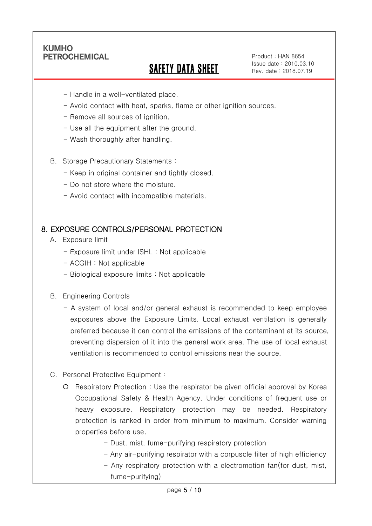Ī

# SAFETY DATA SHEET

Product : HAN 8654 Issue date : 2010.03.10 Rev. date : 2018.07.19

- Handle in a well-ventilated place.
- Avoid contact with heat, sparks, flame or other ignition sources.
- Remove all sources of ignition.
- Use all the equipment after the ground.
- Wash thoroughly after handling.
- B. Storage Precautionary Statements :
	- Keep in original container and tightly closed.
	- Do not store where the moisture.
	- Avoid contact with incompatible materials.

#### 8. EXPOSURE CONTROLS/PERSONAL PROTECTION

- A. Exposure limit
	- Exposure limit under ISHL : Not applicable
	- ACGIH : Not applicable
	- Biological exposure limits : Not applicable
- B. Engineering Controls
	- A system of local and/or general exhaust is recommended to keep employee exposures above the Exposure Limits. Local exhaust ventilation is generally preferred because it can control the emissions of the contaminant at its source, preventing dispersion of it into the general work area. The use of local exhaust ventilation is recommended to control emissions near the source.
- C. Personal Protective Equipment :
	- Respiratory Protection : Use the respirator be given official approval by Korea Occupational Safety & Health Agency. Under conditions of frequent use or heavy exposure, Respiratory protection may be needed. Respiratory protection is ranked in order from minimum to maximum. Consider warning properties before use.
		- Dust, mist, fume-purifying respiratory protection
		- Any air-purifying respirator with a corpuscle filter of high efficiency
		- Any respiratory protection with a electromotion fan(for dust, mist, fume-purifying)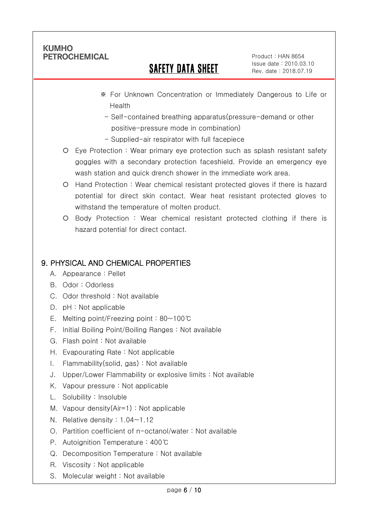Ī

# SAFETY DATA SHEET

Product : HAN 8654 Issue date : 2010.03.10 Rev. date : 2018.07.19

- ※ For Unknown Concentration or Immediately Dangerous to Life or Health
	- Self-contained breathing apparatus(pressure-demand or other positive-pressure mode in combination)
- Supplied-air respirator with full facepiece
- Eye Protection : Wear primary eye protection such as splash resistant safety goggles with a secondary protection faceshield. Provide an emergency eye wash station and quick drench shower in the immediate work area.
- Hand Protection : Wear chemical resistant protected gloves if there is hazard potential for direct skin contact. Wear heat resistant protected gloves to withstand the temperature of molten product.
- Body Protection : Wear chemical resistant protected clothing if there is hazard potential for direct contact.

# 9. PHYSICAL AND CHEMICAL PROPERTIES

- A. Appearance : Pellet
- B. Odor : Odorless
- C. Odor threshold : Not available
- D. pH : Not applicable
- E. Melting point/Freezing point : 80~100℃
- F. Initial Boiling Point/Boiling Ranges : Not available
- G. Flash point : Not available
- H. Evapourating Rate : Not applicable
- I. Flammability(solid, gas) : Not available
- J. Upper/Lower Flammability or explosive limits : Not available
- K. Vapour pressure : Not applicable
- L. Solubility : Insoluble
- M. Vapour density(Air=1) : Not applicable
- N. Relative density : 1.04~1.12
- O. Partition coefficient of n-octanol/water : Not available
- P. Autoignition Temperature : 400℃
- Q. Decomposition Temperature : Not available
- R. Viscosity : Not applicable
- S. Molecular weight : Not available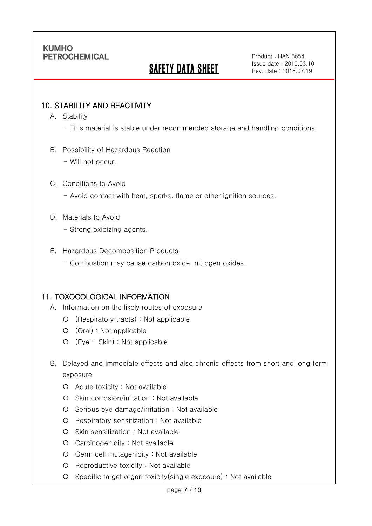# SAFETY DATA SHEET

Product : HAN 8654 Issue date : 2010.03.10 Rev. date : 2018.07.19

### 10. STABILITY AND REACTIVITY

A. Stability

Ī

- This material is stable under recommended storage and handling conditions
- B. Possibility of Hazardous Reaction
	- Will not occur.

#### C. Conditions to Avoid

- Avoid contact with heat, sparks, flame or other ignition sources.

#### D. Materials to Avoid

- Strong oxidizing agents.

#### E. Hazardous Decomposition Products

- Combustion may cause carbon oxide, nitrogen oxides.

#### 11. TOXOCOLOGICAL INFORMATION

- A. Information on the likely routes of exposure
	- (Respiratory tracts) : Not applicable
	- (Oral) : Not applicable
	- (Eye ∙ Skin) : Not applicable
- B. Delayed and immediate effects and also chronic effects from short and long term exposure
	- Acute toxicity : Not available
	- O Skin corrosion/irritation : Not available
	- $O$  Serious eye damage/irritation : Not available
	- Respiratory sensitization : Not available
	- O Skin sensitization : Not available
	- Carcinogenicity : Not available
	- Germ cell mutagenicity : Not available
	- O Reproductive toxicity : Not available
	- Specific target organ toxicity(single exposure) : Not available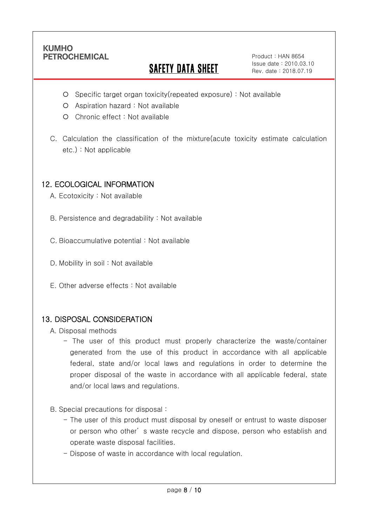Ī

# **SAFETY DATA SHEET**

Product : HAN 8654 Issue date : 2010.03.10 Rev. date : 2018.07.19

- Specific target organ toxicity(repeated exposure) : Not available
- Aspiration hazard : Not available
- Chronic effect : Not available
- C. Calculation the classification of the mixture(acute toxicity estimate calculation etc.) : Not applicable

## 12. ECOLOGICAL INFORMATION

A. Ecotoxicity : Not available

B. Persistence and degradability : Not available

C. Bioaccumulative potential : Not available

- D. Mobility in soil : Not available
- E. Other adverse effects : Not available

### 13. DISPOSAL CONSIDERATION

A. Disposal methods

- The user of this product must properly characterize the waste/container generated from the use of this product in accordance with all applicable federal, state and/or local laws and regulations in order to determine the proper disposal of the waste in accordance with all applicable federal, state and/or local laws and regulations.
- B. Special precautions for disposal :
	- The user of this product must disposal by oneself or entrust to waste disposer or person who other' s waste recycle and dispose, person who establish and operate waste disposal facilities.
	- Dispose of waste in accordance with local regulation.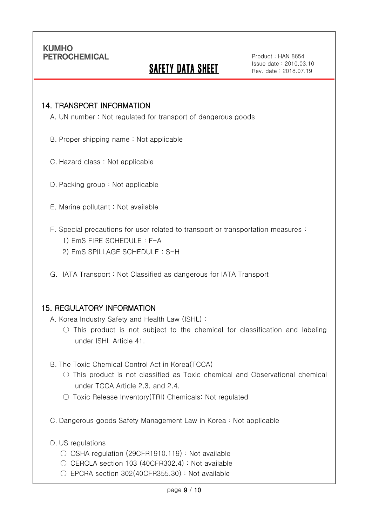Ī

# **SAFETY DATA SHEET**

Product : HAN 8654 Issue date : 2010.03.10 Rev. date : 2018.07.19

#### 14. TRANSPORT INFORMATION

A. UN number : Not regulated for transport of dangerous goods

- B. Proper shipping name : Not applicable
- C. Hazard class : Not applicable
- D. Packing group : Not applicable
- E. Marine pollutant : Not available
- F. Special precautions for user related to transport or transportation measures :
	- 1) EmS FIRE SCHEDULE : F-A
	- 2) EmS SPILLAGE SCHEDULE : S-H
- G. IATA Transport : Not Classified as dangerous for IATA Transport

#### 15. REGULATORY INFORMATION

A. Korea Industry Safety and Health Law (ISHL) :

- $\bigcirc$  This product is not subject to the chemical for classification and labeling under ISHL Article 41.
- B. The Toxic Chemical Control Act in Korea(TCCA)
	- $\bigcirc$  This product is not classified as Toxic chemical and Observational chemical under TCCA Article 2.3. and 2.4.
	- Toxic Release Inventory(TRI) Chemicals: Not regulated
- C. Dangerous goods Safety Management Law in Korea : Not applicable
- D. US regulations
	- OSHA regulation (29CFR1910.119) : Not available
	- CERCLA section 103 (40CFR302.4) : Not available
	- $\circ$  EPCRA section 302(40CFR355.30) : Not available